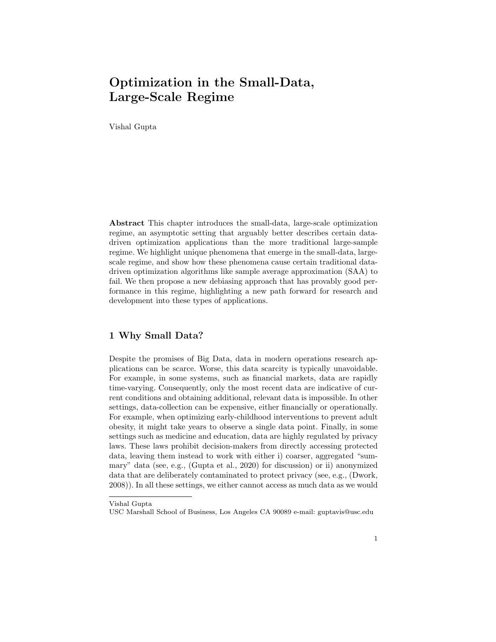Vishal Gupta

Abstract This chapter introduces the small-data, large-scale optimization regime, an asymptotic setting that arguably better describes certain datadriven optimization applications than the more traditional large-sample regime. We highlight unique phenomena that emerge in the small-data, largescale regime, and show how these phenomena cause certain traditional datadriven optimization algorithms like sample average approximation (SAA) to fail. We then propose a new debiasing approach that has provably good performance in this regime, highlighting a new path forward for research and development into these types of applications.

# 1 Why Small Data?

Despite the promises of Big Data, data in modern operations research applications can be scarce. Worse, this data scarcity is typically unavoidable. For example, in some systems, such as financial markets, data are rapidly time-varying. Consequently, only the most recent data are indicative of current conditions and obtaining additional, relevant data is impossible. In other settings, data-collection can be expensive, either financially or operationally. For example, when optimizing early-childhood interventions to prevent adult obesity, it might take years to observe a single data point. Finally, in some settings such as medicine and education, data are highly regulated by privacy laws. These laws prohibit decision-makers from directly accessing protected data, leaving them instead to work with either i) coarser, aggregated "summary" data (see, e.g., (Gupta et al., 2020) for discussion) or ii) anonymized data that are deliberately contaminated to protect privacy (see, e.g., (Dwork, 2008)). In all these settings, we either cannot access as much data as we would

Vishal Gupta

USC Marshall School of Business, Los Angeles CA 90089 e-mail: guptavis@usc.edu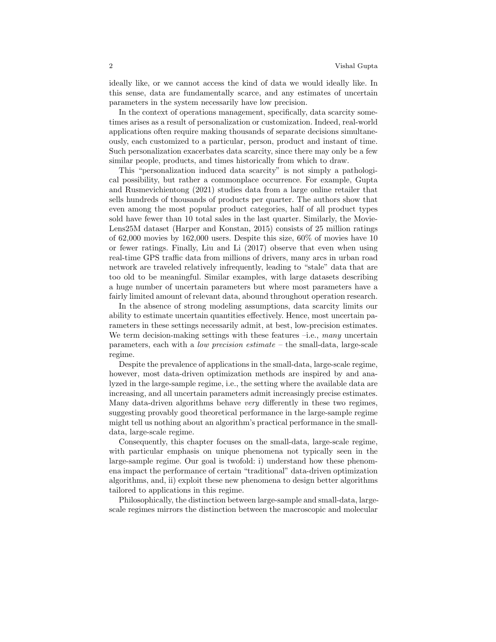ideally like, or we cannot access the kind of data we would ideally like. In this sense, data are fundamentally scarce, and any estimates of uncertain parameters in the system necessarily have low precision.

In the context of operations management, specifically, data scarcity sometimes arises as a result of personalization or customization. Indeed, real-world applications often require making thousands of separate decisions simultaneously, each customized to a particular, person, product and instant of time. Such personalization exacerbates data scarcity, since there may only be a few similar people, products, and times historically from which to draw.

This "personalization induced data scarcity" is not simply a pathological possibility, but rather a commonplace occurrence. For example, Gupta and Rusmevichientong (2021) studies data from a large online retailer that sells hundreds of thousands of products per quarter. The authors show that even among the most popular product categories, half of all product types sold have fewer than 10 total sales in the last quarter. Similarly, the Movie-Lens25M dataset (Harper and Konstan, 2015) consists of 25 million ratings of 62,000 movies by 162,000 users. Despite this size, 60% of movies have 10 or fewer ratings. Finally, Liu and Li (2017) observe that even when using real-time GPS traffic data from millions of drivers, many arcs in urban road network are traveled relatively infrequently, leading to "stale" data that are too old to be meaningful. Similar examples, with large datasets describing a huge number of uncertain parameters but where most parameters have a fairly limited amount of relevant data, abound throughout operation research.

In the absence of strong modeling assumptions, data scarcity limits our ability to estimate uncertain quantities effectively. Hence, most uncertain parameters in these settings necessarily admit, at best, low-precision estimates. We term decision-making settings with these features  $-i.e.,$  many uncertain parameters, each with a *low precision estimate* – the small-data, large-scale regime.

Despite the prevalence of applications in the small-data, large-scale regime, however, most data-driven optimization methods are inspired by and analyzed in the large-sample regime, i.e., the setting where the available data are increasing, and all uncertain parameters admit increasingly precise estimates. Many data-driven algorithms behave very differently in these two regimes, suggesting provably good theoretical performance in the large-sample regime might tell us nothing about an algorithm's practical performance in the smalldata, large-scale regime.

Consequently, this chapter focuses on the small-data, large-scale regime, with particular emphasis on unique phenomena not typically seen in the large-sample regime. Our goal is twofold: i) understand how these phenomena impact the performance of certain "traditional" data-driven optimization algorithms, and, ii) exploit these new phenomena to design better algorithms tailored to applications in this regime.

Philosophically, the distinction between large-sample and small-data, largescale regimes mirrors the distinction between the macroscopic and molecular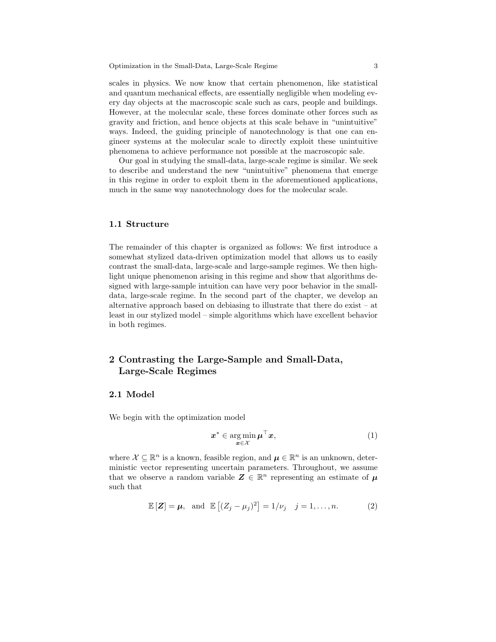scales in physics. We now know that certain phenomenon, like statistical and quantum mechanical effects, are essentially negligible when modeling every day objects at the macroscopic scale such as cars, people and buildings. However, at the molecular scale, these forces dominate other forces such as gravity and friction, and hence objects at this scale behave in "unintuitive" ways. Indeed, the guiding principle of nanotechnology is that one can engineer systems at the molecular scale to directly exploit these unintuitive phenomena to achieve performance not possible at the macroscopic sale.

Our goal in studying the small-data, large-scale regime is similar. We seek to describe and understand the new "unintuitive" phenomena that emerge in this regime in order to exploit them in the aforementioned applications, much in the same way nanotechnology does for the molecular scale.

#### 1.1 Structure

The remainder of this chapter is organized as follows: We first introduce a somewhat stylized data-driven optimization model that allows us to easily contrast the small-data, large-scale and large-sample regimes. We then highlight unique phenomenon arising in this regime and show that algorithms designed with large-sample intuition can have very poor behavior in the smalldata, large-scale regime. In the second part of the chapter, we develop an alternative approach based on debiasing to illustrate that there do exist – at least in our stylized model – simple algorithms which have excellent behavior in both regimes.

# 2 Contrasting the Large-Sample and Small-Data, Large-Scale Regimes

# 2.1 Model

We begin with the optimization model

$$
\boldsymbol{x}^* \in \operatorname*{arg\,min}_{\boldsymbol{x} \in \mathcal{X}} \boldsymbol{\mu}^\top \boldsymbol{x},\tag{1}
$$

where  $\mathcal{X} \subseteq \mathbb{R}^n$  is a known, feasible region, and  $\mu \in \mathbb{R}^n$  is an unknown, deterministic vector representing uncertain parameters. Throughout, we assume that we observe a random variable  $\mathbf{Z} \in \mathbb{R}^n$  representing an estimate of  $\boldsymbol{\mu}$ such that

$$
\mathbb{E}\left[\mathbf{Z}\right] = \boldsymbol{\mu}, \text{ and } \mathbb{E}\left[\left(Z_j - \mu_j\right)^2\right] = 1/\nu_j \quad j = 1, \dots, n. \tag{2}
$$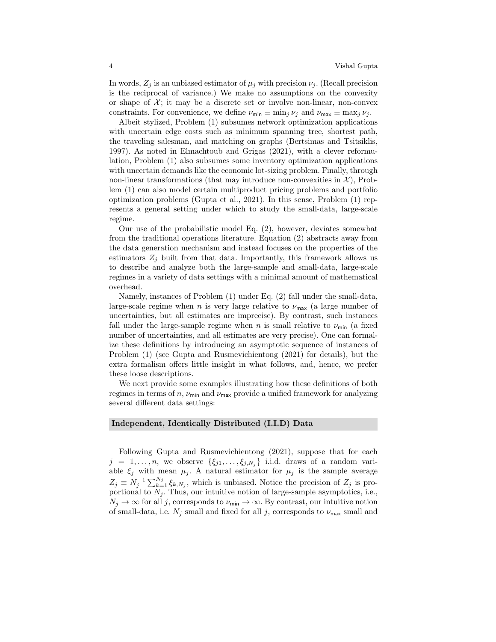In words,  $Z_j$  is an unbiased estimator of  $\mu_j$  with precision  $\nu_j$ . (Recall precision is the reciprocal of variance.) We make no assumptions on the convexity or shape of  $X$ ; it may be a discrete set or involve non-linear, non-convex constraints. For convenience, we define  $\nu_{\min} \equiv \min_i \nu_i$  and  $\nu_{\max} \equiv \max_i \nu_i$ .

Albeit stylized, Problem (1) subsumes network optimization applications with uncertain edge costs such as minimum spanning tree, shortest path, the traveling salesman, and matching on graphs (Bertsimas and Tsitsiklis, 1997). As noted in Elmachtoub and Grigas (2021), with a clever reformulation, Problem (1) also subsumes some inventory optimization applications with uncertain demands like the economic lot-sizing problem. Finally, through non-linear transformations (that may introduce non-convexities in  $\mathcal{X}$ ), Problem (1) can also model certain multiproduct pricing problems and portfolio optimization problems (Gupta et al., 2021). In this sense, Problem (1) represents a general setting under which to study the small-data, large-scale regime.

Our use of the probabilistic model Eq. (2), however, deviates somewhat from the traditional operations literature. Equation (2) abstracts away from the data generation mechanism and instead focuses on the properties of the estimators  $Z_j$  built from that data. Importantly, this framework allows us to describe and analyze both the large-sample and small-data, large-scale regimes in a variety of data settings with a minimal amount of mathematical overhead.

Namely, instances of Problem (1) under Eq. (2) fall under the small-data, large-scale regime when n is very large relative to  $\nu_{\text{max}}$  (a large number of uncertainties, but all estimates are imprecise). By contrast, such instances fall under the large-sample regime when n is small relative to  $\nu_{\min}$  (a fixed number of uncertainties, and all estimates are very precise). One can formalize these definitions by introducing an asymptotic sequence of instances of Problem (1) (see Gupta and Rusmevichientong (2021) for details), but the extra formalism offers little insight in what follows, and, hence, we prefer these loose descriptions.

We next provide some examples illustrating how these definitions of both regimes in terms of  $n$ ,  $\nu_{\text{min}}$  and  $\nu_{\text{max}}$  provide a unified framework for analyzing several different data settings:

### Independent, Identically Distributed (I.I.D) Data

Following Gupta and Rusmevichientong (2021), suppose that for each  $j = 1, \ldots, n$ , we observe  $\{\xi_{j1}, \ldots, \xi_{j,N_j}\}\$  i.i.d. draws of a random variable  $\xi_j$  with mean  $\mu_j$ . A natural estimator for  $\mu_j$  is the sample average  $Z_j \equiv N_j^{-1} \sum_{k=1}^{N_j} \xi_{k,N_j}$ , which is unbiased. Notice the precision of  $Z_j$  is proportional to  $N_j$ . Thus, our intuitive notion of large-sample asymptotics, i.e.,  $N_j \to \infty$  for all j, corresponds to  $\nu_{\min} \to \infty$ . By contrast, our intuitive notion of small-data, i.e.  $N_j$  small and fixed for all j, corresponds to  $\nu_{\text{max}}$  small and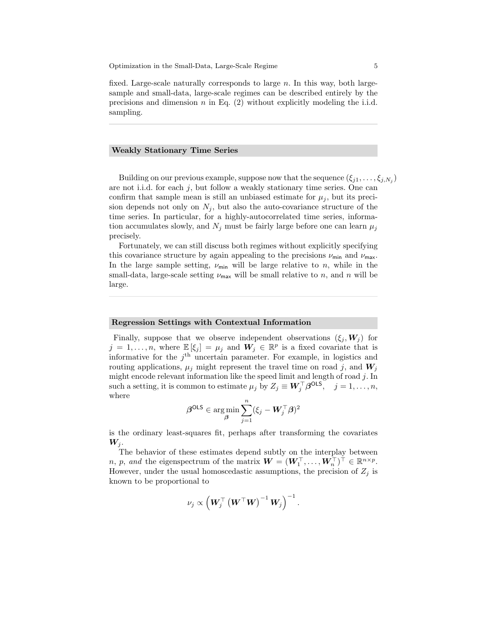fixed. Large-scale naturally corresponds to large n. In this way, both largesample and small-data, large-scale regimes can be described entirely by the precisions and dimension  $n$  in Eq. (2) without explicitly modeling the i.i.d. sampling.

# Weakly Stationary Time Series

Building on our previous example, suppose now that the sequence  $(\xi_{j1}, \ldots, \xi_{j,N_j})$ are not i.i.d. for each  $j$ , but follow a weakly stationary time series. One can confirm that sample mean is still an unbiased estimate for  $\mu_i$ , but its precision depends not only on  $N_j$ , but also the auto-covariance structure of the time series. In particular, for a highly-autocorrelated time series, information accumulates slowly, and  $N_j$  must be fairly large before one can learn  $\mu_j$ precisely.

Fortunately, we can still discuss both regimes without explicitly specifying this covariance structure by again appealing to the precisions  $\nu_{\min}$  and  $\nu_{\max}$ . In the large sample setting,  $\nu_{\min}$  will be large relative to n, while in the small-data, large-scale setting  $\nu_{\text{max}}$  will be small relative to n, and n will be large.

### Regression Settings with Contextual Information

Finally, suppose that we observe independent observations  $(\xi_j, W_j)$  for  $j = 1, \ldots, n$ , where  $\mathbb{E}[\xi_j] = \mu_j$  and  $W_j \in \mathbb{R}^p$  is a fixed covariate that is informative for the  $j<sup>th</sup>$  uncertain parameter. For example, in logistics and routing applications,  $\mu_i$  might represent the travel time on road j, and  $W_i$ might encode relevant information like the speed limit and length of road  $j$ . In such a setting, it is common to estimate  $\mu_j$  by  $Z_j \equiv \mathbf{W}_j^{\top} \boldsymbol{\beta}^{\text{OLS}}, \quad j = 1, \ldots, n$ , where

$$
\boldsymbol{\beta}^{\text{OLS}} \in \argmin_{\boldsymbol{\beta}} \sum_{j=1}^n (\xi_j - \boldsymbol{W}_j^{\top} \boldsymbol{\beta})^2
$$

is the ordinary least-squares fit, perhaps after transforming the covariates  $W_i$ .

The behavior of these estimates depend subtly on the interplay between *n*, *p*, and the eigenspectrum of the matrix  $\boldsymbol{W} = (\boldsymbol{W}_1^{\top}, \dots, \boldsymbol{W}_n^{\top})^{\top} \in \mathbb{R}^{n \times p}$ . However, under the usual homoscedastic assumptions, the precision of  $Z_j$  is known to be proportional to

$$
\nu_j \propto \left( \bm{W}_j^{\top} \left( \bm{W}^{\top} \bm{W} \right)^{-1} \bm{W}_j \right)^{-1}.
$$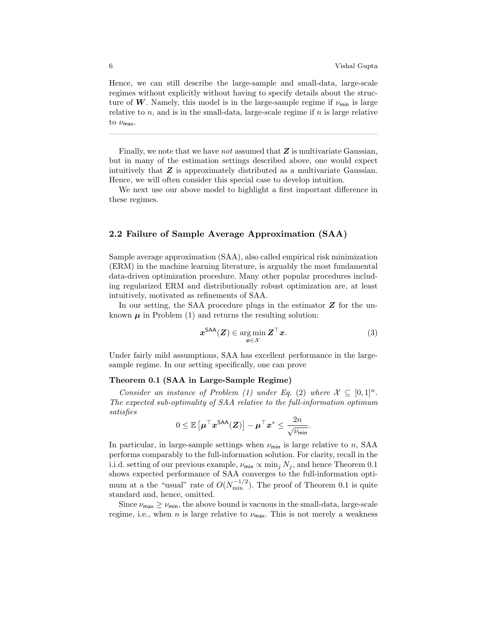Hence, we can still describe the large-sample and small-data, large-scale regimes without explicitly without having to specify details about the structure of W. Namely, this model is in the large-sample regime if  $\nu_{\min}$  is large relative to  $n$ , and is in the small-data, large-scale regime if  $n$  is large relative to  $\nu_{\textsf{max}}$ .

Finally, we note that we have not assumed that  $Z$  is multivariate Gaussian, but in many of the estimation settings described above, one would expect intuitively that  $Z$  is approximately distributed as a multivariate Gaussian. Hence, we will often consider this special case to develop intuition.

We next use our above model to highlight a first important difference in these regimes.

# 2.2 Failure of Sample Average Approximation (SAA)

Sample average approximation (SAA), also called empirical risk minimization (ERM) in the machine learning literature, is arguably the most fundamental data-driven optimization procedure. Many other popular procedures including regularized ERM and distributionally robust optimization are, at least intuitively, motivated as refinements of SAA.

In our setting, the SAA procedure plugs in the estimator  $Z$  for the unknown  $\mu$  in Problem (1) and returns the resulting solution:

$$
\boldsymbol{x}^{\text{SAA}}(\boldsymbol{Z}) \in \operatorname*{arg\,min}_{\boldsymbol{x} \in \mathcal{X}} \boldsymbol{Z}^{\top} \boldsymbol{x}.\tag{3}
$$

Under fairly mild assumptions, SAA has excellent performance in the largesample regime. In our setting specifically, one can prove

#### Theorem 0.1 (SAA in Large-Sample Regime)

Consider an instance of Problem (1) under Eq. (2) where  $\mathcal{X} \subseteq [0,1]^n$ . The expected sub-optimality of SAA relative to the full-information optimum satisfies

$$
0 \leq \mathbb{E}\left[\boldsymbol{\mu}^{\top}\boldsymbol{x}^{\textsf{SAA}}(\boldsymbol{Z})\right] - \boldsymbol{\mu}^{\top}\boldsymbol{x}^* \leq \frac{2n}{\sqrt{\nu_{\textsf{min}}}}.
$$

In particular, in large-sample settings when  $\nu_{\min}$  is large relative to n, SAA performs comparably to the full-information solution. For clarity, recall in the i.i.d. setting of our previous example,  $\nu_{\min} \propto \min_j N_j$ , and hence Theorem 0.1 shows expected performance of SAA converges to the full-information optimum at a the "usual" rate of  $O(N_{\text{min}}^{-1/2})$ . The proof of Theorem 0.1 is quite standard and, hence, omitted.

Since  $\nu_{\text{max}} \ge \nu_{\text{min}}$ , the above bound is vacuous in the small-data, large-scale regime, i.e., when n is large relative to  $\nu_{\text{max}}$ . This is not merely a weakness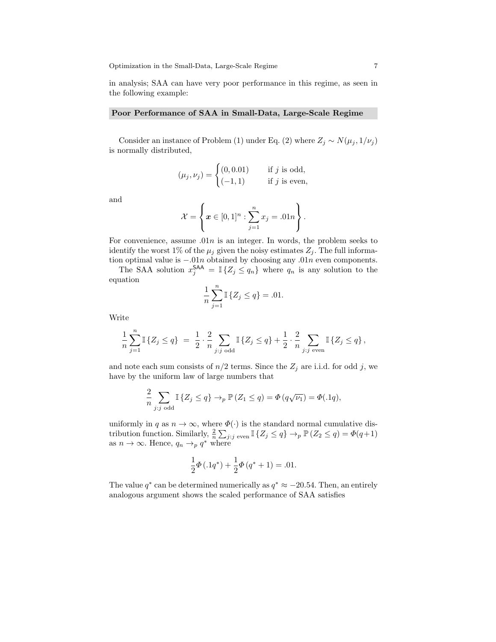in analysis; SAA can have very poor performance in this regime, as seen in the following example:

#### Poor Performance of SAA in Small-Data, Large-Scale Regime

Consider an instance of Problem (1) under Eq. (2) where  $Z_j \sim N(\mu_j, 1/\nu_j)$ is normally distributed,

$$
(\mu_j, \nu_j) = \begin{cases} (0, 0.01) & \text{if } j \text{ is odd,} \\ (-1, 1) & \text{if } j \text{ is even,} \end{cases}
$$

and

$$
\mathcal{X} = \left\{ \boldsymbol{x} \in [0,1]^n : \sum_{j=1}^n x_j = .01n \right\}.
$$

For convenience, assume  $.01n$  is an integer. In words, the problem seeks to identify the worst 1% of the  $\mu_i$  given the noisy estimates  $Z_i$ . The full information optimal value is  $-0.01n$  obtained by choosing any  $0.01n$  even components.

The SAA solution  $x_j^{\mathsf{SAA}} = \mathbb{I} \{Z_j \leq q_n\}$  where  $q_n$  is any solution to the equation

$$
\frac{1}{n}\sum_{j=1}^{n} \mathbb{I}\left\{ Z_{j} \leq q \right\} = .01.
$$

Write

$$
\frac{1}{n}\sum_{j=1}^{n}\mathbb{I}\left\{Z_{j} \leq q\right\} \; = \; \frac{1}{2}\cdot\frac{2}{n}\sum_{j:j \text{ odd}}\mathbb{I}\left\{Z_{j} \leq q\right\} + \frac{1}{2}\cdot\frac{2}{n}\sum_{j:j \text{ even}}\mathbb{I}\left\{Z_{j} \leq q\right\},\;
$$

and note each sum consists of  $n/2$  terms. Since the  $Z_j$  are i.i.d. for odd j, we have by the uniform law of large numbers that

$$
\frac{2}{n} \sum_{j:j \text{ odd}} \mathbb{I} \left\{ Z_j \leq q \right\} \to_p \mathbb{P} \left( Z_1 \leq q \right) = \Phi \left( q \sqrt{\nu_1} \right) = \Phi(.1q),
$$

uniformly in q as  $n \to \infty$ , where  $\Phi(\cdot)$  is the standard normal cumulative distribution function. Similarly,  $\frac{2}{n} \sum_{j:j \text{ even}} \mathbb{I} \{Z_j \leq q\} \to_p \mathbb{P} (Z_2 \leq q) = \Phi(q+1)$ as  $n \to \infty$ . Hence,  $q_n \to_p q^*$  where

$$
\frac{1}{2}\Phi(.1q^*) + \frac{1}{2}\Phi(q^* + 1) = .01.
$$

The value  $q^*$  can be determined numerically as  $q^* \approx -20.54$ . Then, an entirely analogous argument shows the scaled performance of SAA satisfies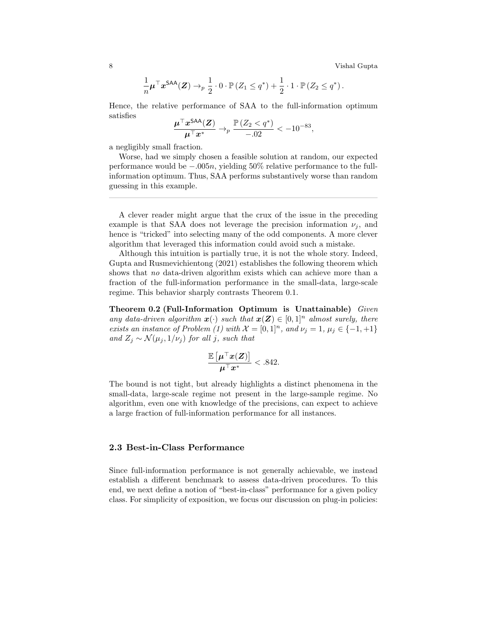8 Vishal Gupta

$$
\frac{1}{n}\boldsymbol{\mu}^{\top}\boldsymbol{x}^{\mathsf{SAA}}(\boldsymbol{Z}) \rightarrow_p \frac{1}{2} \cdot 0 \cdot \mathbb{P}\left(Z_1 \leq q^*\right) + \frac{1}{2} \cdot 1 \cdot \mathbb{P}\left(Z_2 \leq q^*\right).
$$

Hence, the relative performance of SAA to the full-information optimum satisfies

$$
\frac{\boldsymbol{\mu}^\top \boldsymbol{x}^{\mathsf{SAA}}(\boldsymbol{Z})}{\boldsymbol{\mu}^\top \boldsymbol{x}^*} \to_p \frac{\mathbb{P}\left(Z_2 < q^*\right)}{-.02} < -10^{-83},
$$

a negligibly small fraction.

Worse, had we simply chosen a feasible solution at random, our expected performance would be −.005n, yielding 50% relative performance to the fullinformation optimum. Thus, SAA performs substantively worse than random guessing in this example.

A clever reader might argue that the crux of the issue in the preceding example is that SAA does not leverage the precision information  $\nu_j$ , and hence is "tricked" into selecting many of the odd components. A more clever algorithm that leveraged this information could avoid such a mistake.

Although this intuition is partially true, it is not the whole story. Indeed, Gupta and Rusmevichientong (2021) establishes the following theorem which shows that no data-driven algorithm exists which can achieve more than a fraction of the full-information performance in the small-data, large-scale regime. This behavior sharply contrasts Theorem 0.1.

Theorem 0.2 (Full-Information Optimum is Unattainable) Given any data-driven algorithm  $\mathbf{x}(\cdot)$  such that  $\mathbf{x}(\mathbf{Z}) \in [0,1]^n$  almost surely, there exists an instance of Problem (1) with  $\mathcal{X} = [0,1]^n$ , and  $\nu_j = 1$ ,  $\mu_j \in \{-1, +1\}$ and  $Z_j \sim \mathcal{N}(\mu_j, 1/\nu_j)$  for all j, such that

$$
\frac{\mathbb{E}\left[\mu^\top x(Z)\right]}{\mu^\top x^*} < .842.
$$

The bound is not tight, but already highlights a distinct phenomena in the small-data, large-scale regime not present in the large-sample regime. No algorithm, even one with knowledge of the precisions, can expect to achieve a large fraction of full-information performance for all instances.

# 2.3 Best-in-Class Performance

Since full-information performance is not generally achievable, we instead establish a different benchmark to assess data-driven procedures. To this end, we next define a notion of "best-in-class" performance for a given policy class. For simplicity of exposition, we focus our discussion on plug-in policies: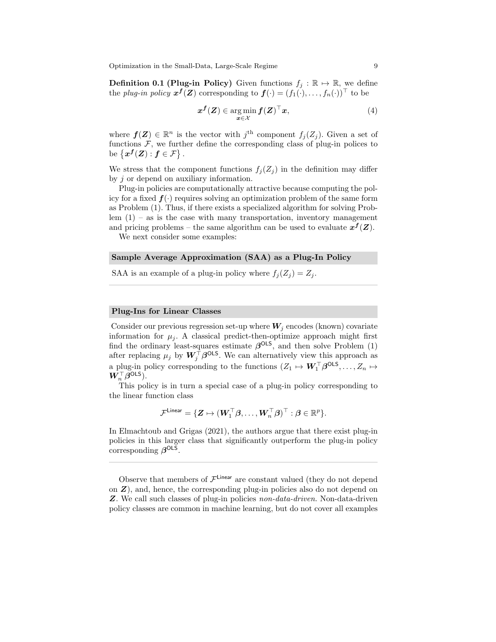**Definition 0.1 (Plug-in Policy)** Given functions  $f_i : \mathbb{R} \to \mathbb{R}$ , we define the *plug-in policy*  $x^f(Z)$  corresponding to  $f(\cdot) = (f_1(\cdot), \ldots, f_n(\cdot))^{\top}$  to be

$$
x^f(Z) \in \operatorname*{arg\,min}_{x \in \mathcal{X}} f(Z)^\top x,\tag{4}
$$

where  $f(Z) \in \mathbb{R}^n$  is the vector with  $j^{\text{th}}$  component  $f_j(Z_j)$ . Given a set of functions  $F$ , we further define the corresponding class of plug-in polices to be  $\{x^f(Z): f \in \mathcal{F}\}.$ 

We stress that the component functions  $f_j(Z_j)$  in the definition may differ by j or depend on auxiliary information.

Plug-in policies are computationally attractive because computing the policy for a fixed  $f(\cdot)$  requires solving an optimization problem of the same form as Problem (1). Thus, if there exists a specialized algorithm for solving Problem  $(1)$  – as is the case with many transportation, inventory management and pricing problems – the same algorithm can be used to evaluate  $x^f(Z)$ .

We next consider some examples:

### Sample Average Approximation (SAA) as a Plug-In Policy

SAA is an example of a plug-in policy where  $f_i(Z_i) = Z_i$ .

## Plug-Ins for Linear Classes

Consider our previous regression set-up where  $W_i$  encodes (known) covariate information for  $\mu_i$ . A classical predict-then-optimize approach might first find the ordinary least-squares estimate  $\beta^{OLS}$ , and then solve Problem (1) after replacing  $\mu_j$  by  $W_j^{\top} \beta^{\text{OLS}}$ . We can alternatively view this approach as a plug-in policy corresponding to the functions  $(Z_1 \mapsto \mathbf{W}_1^{\top} \boldsymbol{\beta}^{\text{OLS}}, \ldots, Z_n \mapsto$  $\pmb{W}_n^\top \boldsymbol{\beta}$ OLS $).$ 

This policy is in turn a special case of a plug-in policy corresponding to the linear function class

$$
\mathcal{F}^{\mathsf{Linear}} = \{\boldsymbol{Z} \mapsto (\boldsymbol{W}_1^\top \boldsymbol{\beta}, \ldots, \boldsymbol{W}_n^\top \boldsymbol{\beta})^\top : \boldsymbol{\beta} \in \mathbb{R}^p\}.
$$

In Elmachtoub and Grigas (2021), the authors argue that there exist plug-in policies in this larger class that significantly outperform the plug-in policy corresponding  $\beta^{\text{OLS}}$ .

Observe that members of  $\mathcal{F}^{\text{Linear}}$  are constant valued (they do not depend on  $Z$ ), and, hence, the corresponding plug-in policies also do not depend on Z. We call such classes of plug-in policies non-data-driven. Non-data-driven policy classes are common in machine learning, but do not cover all examples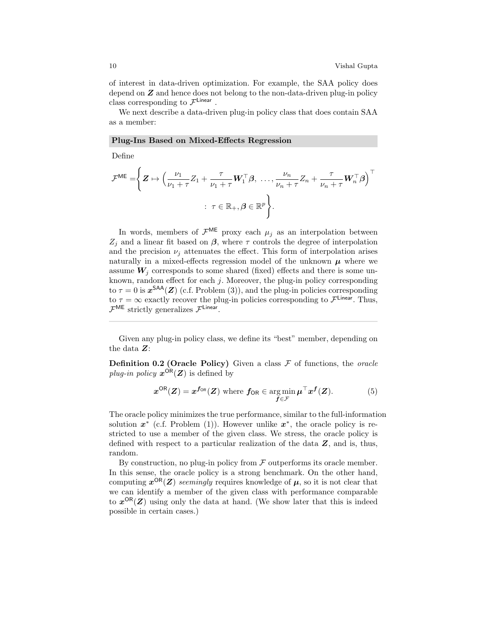of interest in data-driven optimization. For example, the SAA policy does depend on  $Z$  and hence does not belong to the non-data-driven plug-in policy class corresponding to  $\mathcal{F}^{\mathsf{Linear}}$ .

We next describe a data-driven plug-in policy class that does contain SAA as a member:

Plug-Ins Based on Mixed-Effects Regression

Define

$$
\mathcal{F}^{\mathsf{ME}} = \left\{ \mathbf{Z} \mapsto \left( \frac{\nu_1}{\nu_1 + \tau} Z_1 + \frac{\tau}{\nu_1 + \tau} \mathbf{W}_1^{\top} \boldsymbol{\beta}, \ \dots, \frac{\nu_n}{\nu_n + \tau} Z_n + \frac{\tau}{\nu_n + \tau} \mathbf{W}_n^{\top} \boldsymbol{\beta} \right)^{\top} \right. \\ \left. \quad : \ \tau \in \mathbb{R}_+, \boldsymbol{\beta} \in \mathbb{R}^p \right\}.
$$

In words, members of  $\mathcal{F}^{\textsf{ME}}$  proxy each  $\mu_j$  as an interpolation between  $Z_i$  and a linear fit based on  $\beta$ , where  $\tau$  controls the degree of interpolation and the precision  $\nu_i$  attenuates the effect. This form of interpolation arises naturally in a mixed-effects regression model of the unknown  $\mu$  where we assume  $W_i$  corresponds to some shared (fixed) effects and there is some unknown, random effect for each  $j$ . Moreover, the plug-in policy corresponding to  $\tau = 0$  is  $x^{\text{SAA}}(Z)$  (c.f. Problem (3)), and the plug-in policies corresponding to  $\tau = \infty$  exactly recover the plug-in policies corresponding to  $\mathcal{F}^{\text{Linear}}$ . Thus,  $\mathcal{F}^{\textsf{ME}}$  strictly generalizes  $\mathcal{F}^{\textsf{Linear}}$ .

Given any plug-in policy class, we define its "best" member, depending on the data Z:

**Definition 0.2 (Oracle Policy)** Given a class  $\mathcal F$  of functions, the *oracle* plug-in policy  $x^{\text{OR}}(Z)$  is defined by

$$
x^{\text{OR}}(Z) = x^{f_{\text{OR}}}(Z) \text{ where } f_{\text{OR}} \in \operatorname*{arg\,min}_{f \in \mathcal{F}} \mu^{\top} x^f(Z). \tag{5}
$$

The oracle policy minimizes the true performance, similar to the full-information solution  $x^*$  (c.f. Problem (1)). However unlike  $x^*$ , the oracle policy is restricted to use a member of the given class. We stress, the oracle policy is defined with respect to a particular realization of the data  $Z$ , and is, thus, random.

By construction, no plug-in policy from  $\mathcal F$  outperforms its oracle member. In this sense, the oracle policy is a strong benchmark. On the other hand, computing  $x^{\text{OR}}(Z)$  seemingly requires knowledge of  $\mu$ , so it is not clear that we can identify a member of the given class with performance comparable to  $x^{OR}(Z)$  using only the data at hand. (We show later that this is indeed possible in certain cases.)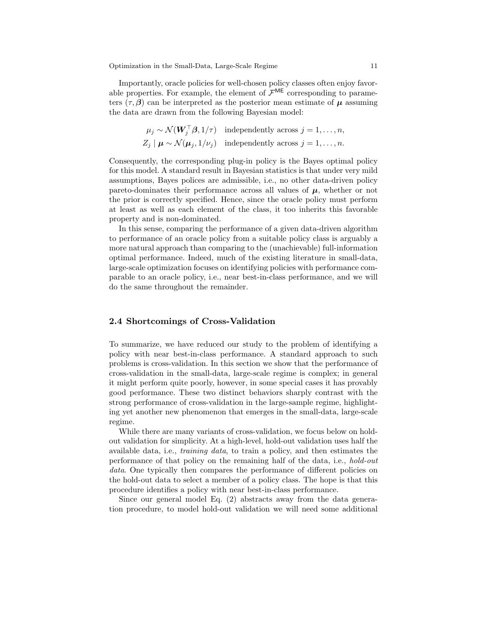Importantly, oracle policies for well-chosen policy classes often enjoy favorable properties. For example, the element of  $\mathcal{F}^{\textsf{ME}}$  corresponding to parameters  $(\tau, \beta)$  can be interpreted as the posterior mean estimate of  $\mu$  assuming the data are drawn from the following Bayesian model:

$$
\mu_j \sim \mathcal{N}(\boldsymbol{W}_j^\top \boldsymbol{\beta}, 1/\tau) \quad \text{independently across } j = 1, \dots, n,
$$
  

$$
Z_j \mid \boldsymbol{\mu} \sim \mathcal{N}(\boldsymbol{\mu}_j, 1/\nu_j) \quad \text{independently across } j = 1, \dots, n.
$$

Consequently, the corresponding plug-in policy is the Bayes optimal policy for this model. A standard result in Bayesian statistics is that under very mild assumptions, Bayes polices are admissible, i.e., no other data-driven policy pareto-dominates their performance across all values of  $\mu$ , whether or not the prior is correctly specified. Hence, since the oracle policy must perform at least as well as each element of the class, it too inherits this favorable property and is non-dominated.

In this sense, comparing the performance of a given data-driven algorithm to performance of an oracle policy from a suitable policy class is arguably a more natural approach than comparing to the (unachievable) full-information optimal performance. Indeed, much of the existing literature in small-data, large-scale optimization focuses on identifying policies with performance comparable to an oracle policy, i.e., near best-in-class performance, and we will do the same throughout the remainder.

# 2.4 Shortcomings of Cross-Validation

To summarize, we have reduced our study to the problem of identifying a policy with near best-in-class performance. A standard approach to such problems is cross-validation. In this section we show that the performance of cross-validation in the small-data, large-scale regime is complex; in general it might perform quite poorly, however, in some special cases it has provably good performance. These two distinct behaviors sharply contrast with the strong performance of cross-validation in the large-sample regime, highlighting yet another new phenomenon that emerges in the small-data, large-scale regime.

While there are many variants of cross-validation, we focus below on holdout validation for simplicity. At a high-level, hold-out validation uses half the available data, i.e., training data, to train a policy, and then estimates the performance of that policy on the remaining half of the data, i.e., hold-out data. One typically then compares the performance of different policies on the hold-out data to select a member of a policy class. The hope is that this procedure identifies a policy with near best-in-class performance.

Since our general model Eq. (2) abstracts away from the data generation procedure, to model hold-out validation we will need some additional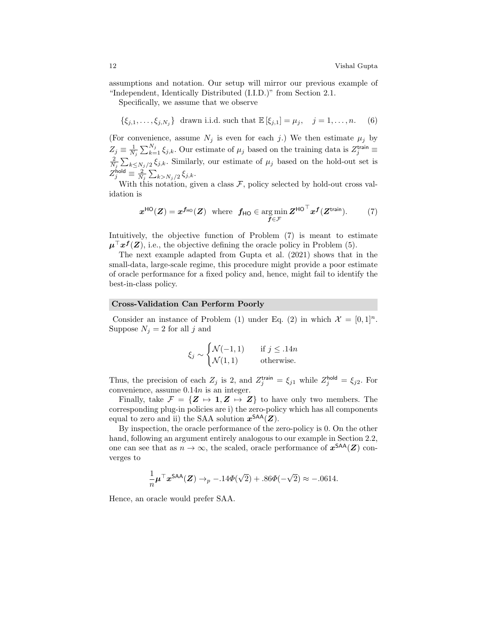assumptions and notation. Our setup will mirror our previous example of "Independent, Identically Distributed (I.I.D.)" from Section 2.1.

Specifically, we assume that we observe

$$
\{\xi_{j,1}, \ldots, \xi_{j,N_j}\}\
$$
 drawn i.i.d. such that  $\mathbb{E}[\xi_{j,1}] = \mu_j, \quad j = 1, \ldots, n.$  (6)

(For convenience, assume  $N_i$  is even for each j.) We then estimate  $\mu_i$  by  $Z_j \equiv \frac{1}{N_j} \sum_{k=1}^{N_j} \xi_{j,k}$ . Our estimate of  $\mu_j$  based on the training data is  $Z_j^{\text{train}}$  $\frac{2}{N_j}\sum_{k\leq N_j/2}\xi_{j,k}$ . Similarly, our estimate of  $\mu_j$  based on the hold-out set is  $Z_j^\mathsf{hold} \equiv \frac{2}{N_j} \sum_{k>N_j/2} \xi_{j,k}.$ 

With this notation, given a class  $\mathcal{F}$ , policy selected by hold-out cross validation is

$$
\boldsymbol{x}^{\text{HO}}(\boldsymbol{Z}) = \boldsymbol{x}^{\boldsymbol{f}_{\text{HO}}}(\boldsymbol{Z}) \text{ where } \boldsymbol{f}_{\text{HO}} \in \argmin_{\boldsymbol{f} \in \mathcal{F}} \boldsymbol{Z}^{\text{HO}}^{\top} \boldsymbol{x}^{\boldsymbol{f}}(\boldsymbol{Z}^{\text{train}}). \tag{7}
$$

Intuitively, the objective function of Problem (7) is meant to estimate  $\mu^{\top} x^f(Z)$ , i.e., the objective defining the oracle policy in Problem (5).

The next example adapted from Gupta et al. (2021) shows that in the small-data, large-scale regime, this procedure might provide a poor estimate of oracle performance for a fixed policy and, hence, might fail to identify the best-in-class policy.

#### Cross-Validation Can Perform Poorly

Consider an instance of Problem (1) under Eq. (2) in which  $\mathcal{X} = [0,1]^n$ . Suppose  $N_i = 2$  for all j and

$$
\xi_j \sim \begin{cases} \mathcal{N}(-1,1) & \text{if } j \le 14n \\ \mathcal{N}(1,1) & \text{otherwise.} \end{cases}
$$

Thus, the precision of each  $Z_j$  is 2, and  $Z_j^{\text{train}} = \xi_{j1}$  while  $Z_j^{\text{hold}} = \xi_{j2}$ . For convenience, assume 0.14n is an integer.

Finally, take  $\mathcal{F} = \{Z \mapsto \mathbf{1}, Z \mapsto Z\}$  to have only two members. The corresponding plug-in policies are i) the zero-policy which has all components equal to zero and ii) the SAA solution  $x^{\text{SAA}}(Z)$ .

By inspection, the oracle performance of the zero-policy is 0. On the other hand, following an argument entirely analogous to our example in Section 2.2, one can see that as  $n \to \infty$ , the scaled, oracle performance of  $x^{\text{SAA}}(Z)$  converges to

$$
\frac{1}{n}\boldsymbol{\mu}^{\top}\boldsymbol{x}^{\mathsf{SAA}}(\boldsymbol{Z}) \rightarrow_{p} -.14\boldsymbol{\Phi}(\sqrt{2}) +.86\boldsymbol{\Phi}(-\sqrt{2}) \approx -.0614.
$$

Hence, an oracle would prefer SAA.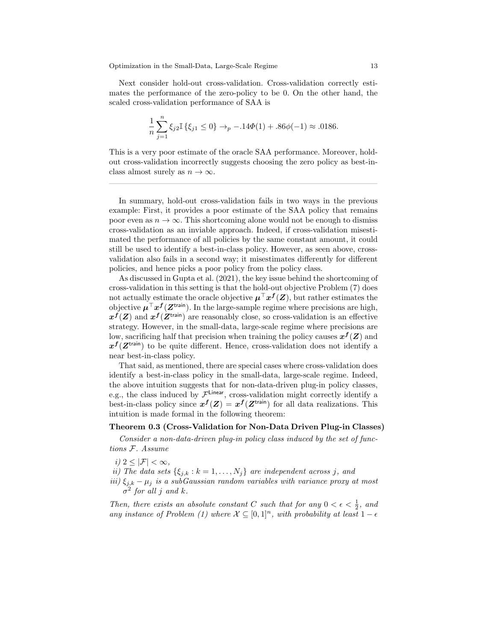Next consider hold-out cross-validation. Cross-validation correctly estimates the performance of the zero-policy to be 0. On the other hand, the scaled cross-validation performance of SAA is

$$
\frac{1}{n}\sum_{j=1}^{n}\xi_{j2}\mathbb{I}\left\{\xi_{j1}\leq 0\right\}\to_{p} -.14\Phi(1) + .86\phi(-1) \approx .0186.
$$

This is a very poor estimate of the oracle SAA performance. Moreover, holdout cross-validation incorrectly suggests choosing the zero policy as best-inclass almost surely as  $n \to \infty$ .

In summary, hold-out cross-validation fails in two ways in the previous example: First, it provides a poor estimate of the SAA policy that remains poor even as  $n \to \infty$ . This shortcoming alone would not be enough to dismiss cross-validation as an inviable approach. Indeed, if cross-validation misestimated the performance of all policies by the same constant amount, it could still be used to identify a best-in-class policy. However, as seen above, crossvalidation also fails in a second way; it misestimates differently for different policies, and hence picks a poor policy from the policy class.

As discussed in Gupta et al. (2021), the key issue behind the shortcoming of cross-validation in this setting is that the hold-out objective Problem (7) does not actually estimate the oracle objective  $\mu^{\top} x^f(Z)$ , but rather estimates the objective  $\mu^{\top} x^f(Z^{\text{train}})$ . In the large-sample regime where precisions are high,  $x^{f}(Z)$  and  $x^{f}(Z^{\text{train}})$  are reasonably close, so cross-validation is an effective strategy. However, in the small-data, large-scale regime where precisions are low, sacrificing half that precision when training the policy causes  $x^f(Z)$  and  $x^f(Z^{\text{train}})$  to be quite different. Hence, cross-validation does not identify a near best-in-class policy.

That said, as mentioned, there are special cases where cross-validation does identify a best-in-class policy in the small-data, large-scale regime. Indeed, the above intuition suggests that for non-data-driven plug-in policy classes, e.g., the class induced by  $\mathcal{F}^{\text{Linear}}$ , cross-validation might correctly identify a best-in-class policy since  $x^f(Z) = x^f(Z^{\text{train}})$  for all data realizations. This intuition is made formal in the following theorem:

## Theorem 0.3 (Cross-Validation for Non-Data Driven Plug-in Classes)

Consider a non-data-driven plug-in policy class induced by the set of functions F. Assume

i)  $2 < |\mathcal{F}| < \infty$ ,

ii) The data sets  $\{\xi_{j,k}: k=1,\ldots,N_j\}$  are independent across j, and

iii)  $\xi_{j,k} - \mu_j$  is a subGaussian random variables with variance proxy at most  $\sigma^2$  for all j and k.

Then, there exists an absolute constant C such that for any  $0 < \epsilon < \frac{1}{2}$ , and any instance of Problem (1) where  $\mathcal{X} \subseteq [0,1]^n$ , with probability at least  $1 - \epsilon$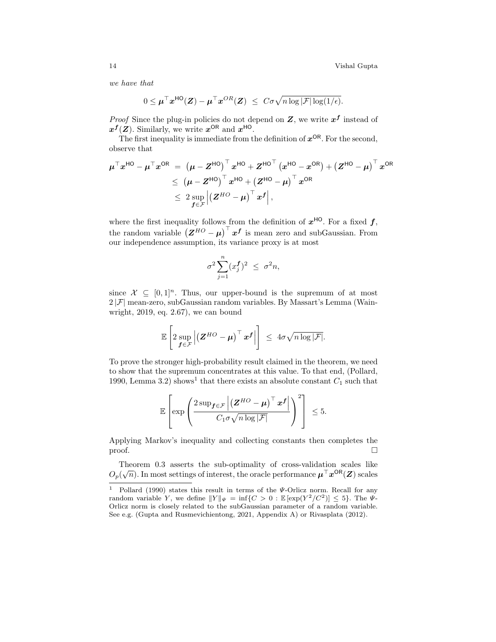we have that

$$
0 \leq \boldsymbol{\mu}^{\top} \boldsymbol{x}^{\mathsf{HO}}(\boldsymbol{Z}) - \boldsymbol{\mu}^{\top} \boldsymbol{x}^{OR}(\boldsymbol{Z}) \ \leq \ C \sigma \sqrt{n \log |\mathcal{F}| \log(1/\epsilon)}.
$$

*Proof* Since the plug-in policies do not depend on  $Z$ , we write  $x^f$  instead of  $x^f(Z)$ . Similarly, we write  $x^{OR}$  and  $x^{HO}$ .

The first inequality is immediate from the definition of  $x^{OR}$ . For the second, observe that

$$
\begin{aligned} \mu^\top x^{\mathsf{HO}} - \mu^\top x^{\mathsf{OR}} &= \; \left(\mu - Z^{\mathsf{HO}}\right)^\top x^{\mathsf{HO}} + Z^{\mathsf{HO}^\top} \left(x^{\mathsf{HO}} - x^{\mathsf{OR}}\right) + \left(Z^{\mathsf{HO}} - \mu\right)^\top x^{\mathsf{OR}} \\ &\leq \; \left(\mu - Z^{\mathsf{HO}}\right)^\top x^{\mathsf{HO}} + \left(Z^{\mathsf{HO}} - \mu\right)^\top x^{\mathsf{OR}} \\ &\leq \; 2 \sup_{\bm{f} \in \mathcal{F}} \left| \left(Z^{\mathsf{HO}} - \mu\right)^\top x^{\bm{f}} \right|, \end{aligned}
$$

where the first inequality follows from the definition of  $x^{HO}$ . For a fixed f, the random variable  $(Z^{HO} - \mu)^\top x^f$  is mean zero and subGaussian. From our independence assumption, its variance proxy is at most

$$
\sigma^2 \sum_{j=1}^n (x_j^{\pmb{f}})^2 \ \leq \ \sigma^2 n,
$$

since  $\mathcal{X} \subseteq [0,1]^n$ . Thus, our upper-bound is the supremum of at most  $2|\mathcal{F}|$  mean-zero, subGaussian random variables. By Massart's Lemma (Wainwright, 2019, eq. 2.67), we can bound

$$
\mathbb{E}\left[2\sup_{\bm{f}\in\mathcal{F}}\left|\left(\bm{Z}^{HO}-\bm{\mu}\right)^{\top}\bm{x}^{\bm{f}}\right|\right] \leq 4\sigma\sqrt{n\log|\mathcal{F}|}.
$$

To prove the stronger high-probability result claimed in the theorem, we need to show that the supremum concentrates at this value. To that end, (Pollard, 1990, Lemma 3.2) shows<sup>1</sup> that there exists an absolute constant  $C_1$  such that

$$
\mathbb{E}\left[\exp\left(\frac{2\sup_{\bm{f}\in\mathcal{F}}\left|\left(\bm{Z}^{HO}-\bm{\mu}\right)^{\top}\bm{x}^{\bm{f}}\right|}{C_1\sigma\sqrt{n\log|\mathcal{F}|}}\right)^2\right]\right]\leq 5.
$$

Applying Markov's inequality and collecting constants then completes the proof.

Theorem 0.3 asserts the sub-optimality of cross-validation scales like  $O_p(\sqrt{n})$ . In most settings of interest, the oracle performance  $\boldsymbol{\mu}^\top \boldsymbol{x}^{\mathsf{OR}}(\boldsymbol{Z})$  scales

<sup>&</sup>lt;sup>1</sup> Pollard (1990) states this result in terms of the  $\psi$ -Orlicz norm. Recall for any random variable Y, we define  $||Y||_{\Psi} = \inf\{C > 0 : \mathbb{E}[\exp(Y^2/C^2)] \leq 5\}$ . The  $\Psi$ -Orlicz norm is closely related to the subGaussian parameter of a random variable. See e.g. (Gupta and Rusmevichientong, 2021, Appendix A) or Rivasplata (2012).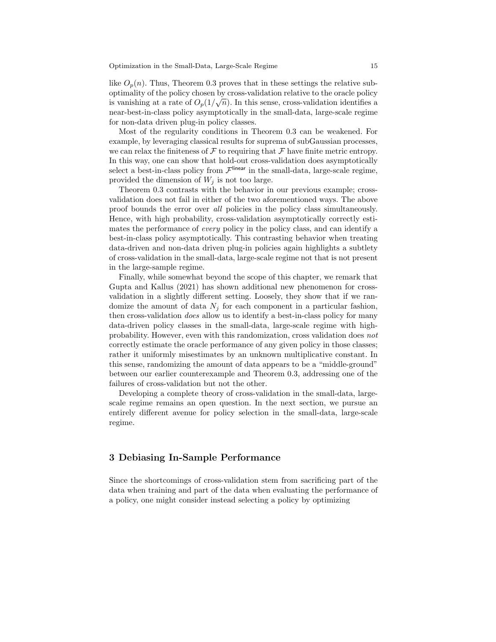like  $O_p(n)$ . Thus, Theorem 0.3 proves that in these settings the relative suboptimality of the policy chosen by cross-validation relative to the oracle policy is vanishing at a rate of  $O_p(1/\sqrt{n})$ . In this sense, cross-validation identifies a near-best-in-class policy asymptotically in the small-data, large-scale regime for non-data driven plug-in policy classes.

Most of the regularity conditions in Theorem 0.3 can be weakened. For example, by leveraging classical results for suprema of subGaussian processes, we can relax the finiteness of  $\mathcal F$  to requiring that  $\mathcal F$  have finite metric entropy. In this way, one can show that hold-out cross-validation does asymptotically select a best-in-class policy from  $\mathcal{F}^{\text{linear}}$  in the small-data, large-scale regime, provided the dimension of  $W_i$  is not too large.

Theorem 0.3 contrasts with the behavior in our previous example; crossvalidation does not fail in either of the two aforementioned ways. The above proof bounds the error over all policies in the policy class simultaneously. Hence, with high probability, cross-validation asymptotically correctly estimates the performance of *every* policy in the policy class, and can identify a best-in-class policy asymptotically. This contrasting behavior when treating data-driven and non-data driven plug-in policies again highlights a subtlety of cross-validation in the small-data, large-scale regime not that is not present in the large-sample regime.

Finally, while somewhat beyond the scope of this chapter, we remark that Gupta and Kallus (2021) has shown additional new phenomenon for crossvalidation in a slightly different setting. Loosely, they show that if we randomize the amount of data  $N_j$  for each component in a particular fashion, then cross-validation does allow us to identify a best-in-class policy for many data-driven policy classes in the small-data, large-scale regime with highprobability. However, even with this randomization, cross validation does not correctly estimate the oracle performance of any given policy in those classes; rather it uniformly misestimates by an unknown multiplicative constant. In this sense, randomizing the amount of data appears to be a "middle-ground" between our earlier counterexample and Theorem 0.3, addressing one of the failures of cross-validation but not the other.

Developing a complete theory of cross-validation in the small-data, largescale regime remains an open question. In the next section, we pursue an entirely different avenue for policy selection in the small-data, large-scale regime.

# 3 Debiasing In-Sample Performance

Since the shortcomings of cross-validation stem from sacrificing part of the data when training and part of the data when evaluating the performance of a policy, one might consider instead selecting a policy by optimizing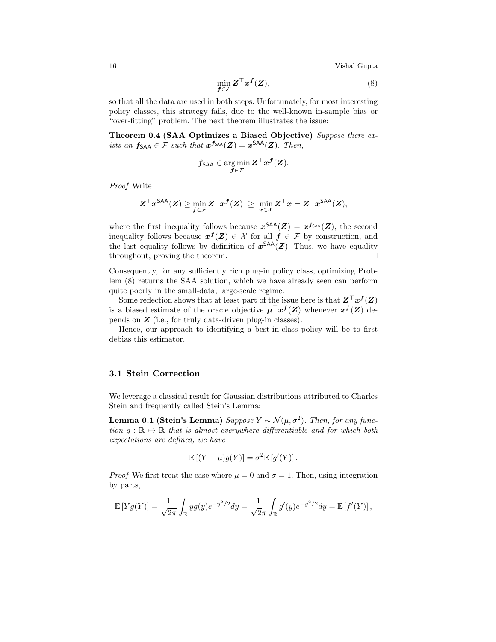16 Vishal Gupta

$$
\min_{\boldsymbol{f}\in\mathcal{F}} \boldsymbol{Z}^{\top} \boldsymbol{x}^{\boldsymbol{f}}(\boldsymbol{Z}),
$$
\n(8)

so that all the data are used in both steps. Unfortunately, for most interesting policy classes, this strategy fails, due to the well-known in-sample bias or "over-fitting" problem. The next theorem illustrates the issue:

Theorem 0.4 (SAA Optimizes a Biased Objective) Suppose there exists an  $f_{\text{SAA}} \in \mathcal{F}$  such that  $x^{f_{\text{SAA}}}(Z) = x^{\text{SAA}}(Z)$ . Then,

$$
\pmb{f}_{\mathsf{SAA}}\in\argmin_{\pmb{f}\in\mathcal{F}}\pmb{Z}^{\top}\pmb{x}^{\pmb{f}}(\pmb{Z}).
$$

Proof Write

$$
\boldsymbol{Z}^\top \boldsymbol{x}^{\mathsf{SAA}}(\boldsymbol{Z}) \geq \min_{\boldsymbol{f} \in \mathcal{F}} \boldsymbol{Z}^\top \boldsymbol{x}^{\boldsymbol{f}}(\boldsymbol{Z}) \ \geq \ \min_{\boldsymbol{x} \in \mathcal{X}} \boldsymbol{Z}^\top \boldsymbol{x} = \boldsymbol{Z}^\top \boldsymbol{x}^{\mathsf{SAA}}(\boldsymbol{Z}),
$$

where the first inequality follows because  $x^{SAA}(Z) = x^{f_{SAA}}(Z)$ , the second inequality follows because  $x^f(Z) \in \mathcal{X}$  for all  $f \in \mathcal{F}$  by construction, and the last equality follows by definition of  $x^{SAA}(Z)$ . Thus, we have equality throughout, proving the theorem.

Consequently, for any sufficiently rich plug-in policy class, optimizing Problem (8) returns the SAA solution, which we have already seen can perform quite poorly in the small-data, large-scale regime.

Some reflection shows that at least part of the issue here is that  $Z^{\top} x^f(Z)$ is a biased estimate of the oracle objective  $\mu^{T} x^{f}(Z)$  whenever  $x^{f}(Z)$  depends on Z (i.e., for truly data-driven plug-in classes).

Hence, our approach to identifying a best-in-class policy will be to first debias this estimator.

# 3.1 Stein Correction

We leverage a classical result for Gaussian distributions attributed to Charles Stein and frequently called Stein's Lemma:

**Lemma 0.1 (Stein's Lemma)** Suppose  $Y \sim \mathcal{N}(\mu, \sigma^2)$ . Then, for any function  $q : \mathbb{R} \mapsto \mathbb{R}$  that is almost everywhere differentiable and for which both expectations are defined, we have

$$
\mathbb{E}[(Y-\mu)g(Y)] = \sigma^2 \mathbb{E}[g'(Y)].
$$

*Proof* We first treat the case where  $\mu = 0$  and  $\sigma = 1$ . Then, using integration by parts,

$$
\mathbb{E}\left[Y g(Y)\right] = \frac{1}{\sqrt{2\pi}} \int_{\mathbb{R}} y g(y) e^{-y^2/2} dy = \frac{1}{\sqrt{2\pi}} \int_{\mathbb{R}} g'(y) e^{-y^2/2} dy = \mathbb{E}\left[f'(Y)\right],
$$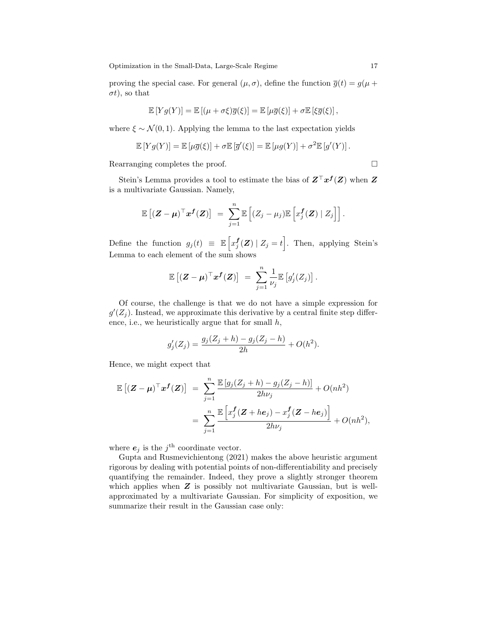proving the special case. For general  $(\mu, \sigma)$ , define the function  $\overline{g}(t) = g(\mu +$  $\sigma t$ ), so that

$$
\mathbb{E}\left[Y g(Y)\right] = \mathbb{E}\left[(\mu + \sigma \xi)\overline{g}(\xi)\right] = \mathbb{E}\left[\mu \overline{g}(\xi)\right] + \sigma \mathbb{E}\left[\xi \overline{g}(\xi)\right],
$$

where  $\xi \sim \mathcal{N}(0, 1)$ . Applying the lemma to the last expectation yields

$$
\mathbb{E}[Y g(Y)] = \mathbb{E}[\mu \overline{g}(\xi)] + \sigma \mathbb{E}[\overline{g}'(\xi)] = \mathbb{E}[\mu g(Y)] + \sigma^2 \mathbb{E}[g'(Y)].
$$

Rearranging completes the proof.

Stein's Lemma provides a tool to estimate the bias of  $Z^{\top} x^f(Z)$  when  $Z$ is a multivariate Gaussian. Namely,

$$
\mathbb{E}\left[ (\mathbf{Z} - \boldsymbol{\mu})^{\top} \boldsymbol{x}^{\boldsymbol{f}}(\mathbf{Z}) \right] = \sum_{j=1}^n \mathbb{E}\left[ (Z_j - \mu_j) \mathbb{E}\left[ x_j^{\boldsymbol{f}}(\mathbf{Z}) \mid Z_j \right] \right].
$$

Define the function  $g_j(t) \equiv \mathbb{E}\left[x_j^{\mathbf{f}}(\mathbf{Z}) \mid Z_j = t\right]$ . Then, applying Stein's Lemma to each element of the sum shows

$$
\mathbb{E}\left[ (\boldsymbol{Z}-\boldsymbol{\mu})^{\top} \boldsymbol{x}^{\boldsymbol{f}}(\boldsymbol{Z}) \right] \hspace{0.1 cm} = \hspace{0.1 cm} \sum_{j=1}^{n} \frac{1}{\nu_{j}} \mathbb{E}\left[ g_{j}^{\prime}(Z_{j}) \right].
$$

Of course, the challenge is that we do not have a simple expression for  $g'(Z_j)$ . Instead, we approximate this derivative by a central finite step difference, i.e., we heuristically argue that for small  $h$ ,

$$
g'_{j}(Z_{j}) = \frac{g_{j}(Z_{j} + h) - g_{j}(Z_{j} - h)}{2h} + O(h^{2}).
$$

Hence, we might expect that

$$
\mathbb{E}\left[ (\mathbf{Z} - \boldsymbol{\mu})^{\top} \boldsymbol{x}^{f}(\mathbf{Z}) \right] = \sum_{j=1}^{n} \frac{\mathbb{E}\left[ g_j(Z_j + h) - g_j(Z_j - h) \right]}{2h\nu_j} + O(nh^2)
$$
  
= 
$$
\sum_{j=1}^{n} \frac{\mathbb{E}\left[ x_j^f(\mathbf{Z} + he_j) - x_j^f(\mathbf{Z} - he_j) \right]}{2h\nu_j} + O(nh^2),
$$

where  $e_j$  is the  $j^{\text{th}}$  coordinate vector.

Gupta and Rusmevichientong (2021) makes the above heuristic argument rigorous by dealing with potential points of non-differentiability and precisely quantifying the remainder. Indeed, they prove a slightly stronger theorem which applies when  $Z$  is possibly not multivariate Gaussian, but is wellapproximated by a multivariate Gaussian. For simplicity of exposition, we summarize their result in the Gaussian case only: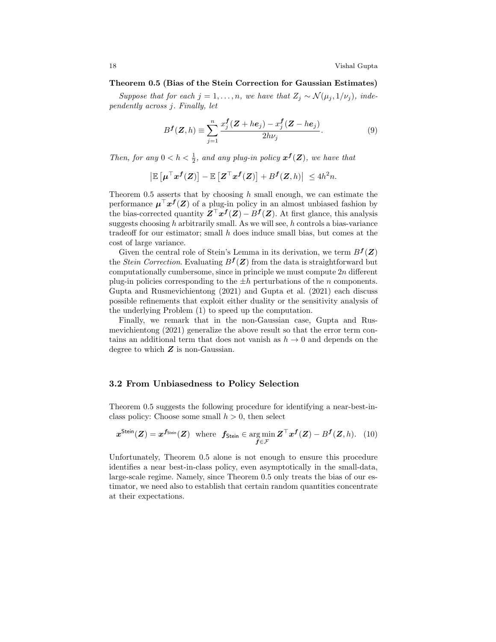#### Theorem 0.5 (Bias of the Stein Correction for Gaussian Estimates)

Suppose that for each j = 1, ..., n, we have that  $Z_j \sim \mathcal{N}(\mu_j, 1/\nu_j)$ , independently across j. Finally, let

$$
Bf(Z,h) \equiv \sum_{j=1}^{n} \frac{x_j^f(Z+he_j) - x_j^f(Z-he_j)}{2h\nu_j}.
$$
 (9)

Then, for any  $0 < h < \frac{1}{2}$ , and any plug-in policy  $x^f(Z)$ , we have that

$$
\left| \mathbb{E} \left[ \boldsymbol{\mu}^\top \boldsymbol{x}^{\boldsymbol{f}}(\boldsymbol{Z}) \right] - \mathbb{E} \left[ \boldsymbol{Z}^\top \boldsymbol{x}^{\boldsymbol{f}}(\boldsymbol{Z}) \right] + B^{\boldsymbol{f}}(\boldsymbol{Z}, h) \right| \leq 4h^2 n.
$$

Theorem 0.5 asserts that by choosing h small enough, we can estimate the performance  $\mu^{\top} x^f(Z)$  of a plug-in policy in an almost unbiased fashion by the bias-corrected quantity  $Z^{\top} x^f(Z) - B^f(Z)$ . At first glance, this analysis suggests choosing  $h$  arbitrarily small. As we will see,  $h$  controls a bias-variance tradeoff for our estimator; small  $h$  does induce small bias, but comes at the cost of large variance.

Given the central role of Stein's Lemma in its derivation, we term  $B^f(\mathbf{Z})$ the *Stein Correction*. Evaluating  $B^f(Z)$  from the data is straightforward but computationally cumbersome, since in principle we must compute  $2n$  different plug-in policies corresponding to the  $\pm h$  perturbations of the n components. Gupta and Rusmevichientong (2021) and Gupta et al. (2021) each discuss possible refinements that exploit either duality or the sensitivity analysis of the underlying Problem (1) to speed up the computation.

Finally, we remark that in the non-Gaussian case, Gupta and Rusmevichientong (2021) generalize the above result so that the error term contains an additional term that does not vanish as  $h \to 0$  and depends on the degree to which  $Z$  is non-Gaussian.

## 3.2 From Unbiasedness to Policy Selection

Theorem 0.5 suggests the following procedure for identifying a near-best-inclass policy: Choose some small  $h > 0$ , then select

$$
\boldsymbol{x}^{\text{Stein}}(\boldsymbol{Z}) = \boldsymbol{x}^{\boldsymbol{f}_{\text{Stein}}}(\boldsymbol{Z}) \text{ where } \boldsymbol{f}_{\text{Stein}} \in \argmin_{\boldsymbol{f} \in \mathcal{F}} \boldsymbol{Z}^{\top} \boldsymbol{x}^{\boldsymbol{f}}(\boldsymbol{Z}) - B^{\boldsymbol{f}}(\boldsymbol{Z}, h). \tag{10}
$$

Unfortunately, Theorem 0.5 alone is not enough to ensure this procedure identifies a near best-in-class policy, even asymptotically in the small-data, large-scale regime. Namely, since Theorem 0.5 only treats the bias of our estimator, we need also to establish that certain random quantities concentrate at their expectations.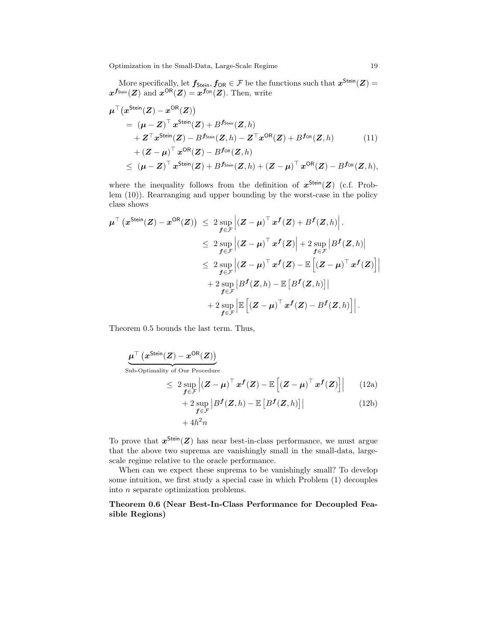More specifically, let  $f_{\mathsf{Stein}}, f_{\mathsf{OR}} \in \mathcal{F}$  be the functions such that  $x^{\mathsf{Stein}}(Z) =$  $\boldsymbol{x}^{\boldsymbol{f}_{\mathsf{Stein}}}(\boldsymbol{Z}) \text{ and } \boldsymbol{x}^{\mathsf{OR}}(\boldsymbol{Z}) = \boldsymbol{x}^{\boldsymbol{f}_{\mathsf{OR}}}(\boldsymbol{Z}). \text{ Then, write}$ 

$$
\mu^{\top}(x^{\text{Stein}}(Z) - x^{\text{OR}}(Z))
$$
\n
$$
= (\mu - Z)^{\top} x^{\text{Stein}}(Z) + B^{f_{\text{Stein}}}(Z, h)
$$
\n
$$
+ Z^{\top} x^{\text{Stein}}(Z) - B^{f_{\text{Stein}}}(Z, h) - Z^{\top} x^{\text{OR}}(Z) + B^{f_{\text{OR}}}(Z, h) \qquad (11)
$$
\n
$$
+ (Z - \mu)^{\top} x^{\text{OR}}(Z) - B^{f_{\text{OR}}}(Z, h)
$$
\n
$$
\leq (\mu - Z)^{\top} x^{\text{Stein}}(Z) + B^{f_{\text{Stein}}}(Z, h) + (Z - \mu)^{\top} x^{\text{OR}}(Z) - B^{f_{\text{OR}}}(Z, h),
$$

where the inequality follows from the definition of  $x^{\text{Stein}}(Z)$  (c.f. Problem (10)). Rearranging and upper bounding by the worst-case in the policy class shows

$$
\begin{aligned} \mu^\top \left( x^{\text{Stein}}(\pmb{Z}) - x^{\text{OR}}(\pmb{Z}) \right) &\leq 2 \sup_{\pmb{f} \in \mathcal{F}} \left| \left( \pmb{Z} - \pmb{\mu} \right)^\top x^{\pmb{f}}(\pmb{Z}) + B^{\pmb{f}}(\pmb{Z}, h) \right| . \\ &\leq 2 \sup_{\pmb{f} \in \mathcal{F}} \left| \left( \pmb{Z} - \pmb{\mu} \right)^\top x^{\pmb{f}}(\pmb{Z}) \right| + 2 \sup_{\pmb{f} \in \mathcal{F}} \left| B^{\pmb{f}}(\pmb{Z}, h) \right| \\ &\leq 2 \sup_{\pmb{f} \in \mathcal{F}} \left| \left( \pmb{Z} - \pmb{\mu} \right)^\top x^{\pmb{f}}(\pmb{Z}) - \mathbb{E} \left[ \left( \pmb{Z} - \pmb{\mu} \right)^\top x^{\pmb{f}}(\pmb{Z}) \right] \right| \\ &+ 2 \sup_{\pmb{f} \in \mathcal{F}} \left| B^{\pmb{f}}(\pmb{Z}, h) - \mathbb{E} \left[ B^{\pmb{f}}(\pmb{Z}, h) \right] \right| \\ &+ 2 \sup_{\pmb{f} \in \mathcal{F}} \left| \mathbb{E} \left[ \left( \pmb{Z} - \pmb{\mu} \right)^\top x^{\pmb{f}}(\pmb{Z}) - B^{\pmb{f}}(\pmb{Z}, h) \right] \right| . \end{aligned}
$$

Theorem 0.5 bounds the last term. Thus,

$$
\mu^{\top} (x^{\text{Stein}}(Z) - x^{\text{OR}}(Z))
$$
\nSub-Optimality of Our Procedure\n
$$
\leq 2 \sup_{f \in \mathcal{F}} \left| (Z - \mu)^{\top} x^f(Z) - \mathbb{E} \left[ (Z - \mu)^{\top} x^f(Z) \right] \right| \qquad (12a)
$$
\n
$$
+ 2 \sup |Bf(Z, b) - \mathbb{E} [Bf(Z, b)]| \qquad (12b)
$$

$$
+ 2 \sup_{\mathbf{f} \in \mathcal{F}} |B^{\mathbf{f}}(\mathbf{Z}, h) - \mathbb{E} [B^{\mathbf{f}}(\mathbf{Z}, h)]|
$$
\n
$$
+ 4h^2 n
$$
\n(12b)

To prove that  $x^{\text{Stein}}(Z)$  has near best-in-class performance, we must argue that the above two suprema are vanishingly small in the small-data, largescale regime relative to the oracle performance.

When can we expect these suprema to be vanishingly small? To develop some intuition, we first study a special case in which Problem (1) decouples into n separate optimization problems.

Theorem 0.6 (Near Best-In-Class Performance for Decoupled Feasible Regions)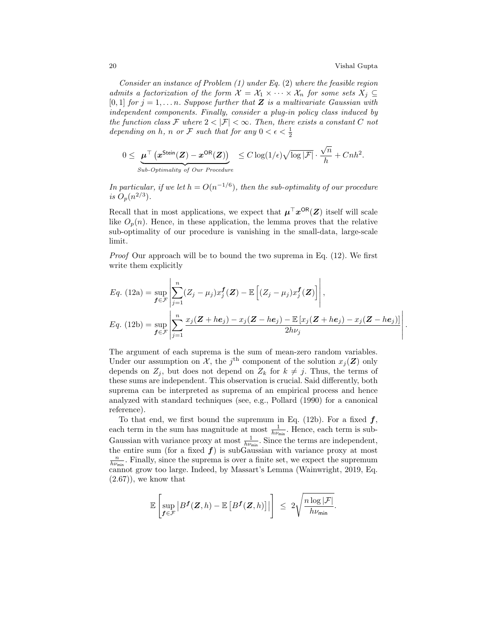.

Consider an instance of Problem  $(1)$  under Eq.  $(2)$  where the feasible region admits a factorization of the form  $\mathcal{X} = \mathcal{X}_1 \times \cdots \times \mathcal{X}_n$  for some sets  $X_j \subseteq$  $[0, 1]$  for  $j = 1, \ldots n$ . Suppose further that Z is a multivariate Gaussian with independent components. Finally, consider a plug-in policy class induced by the function class F where  $2 < |\mathcal{F}| < \infty$ . Then, there exists a constant C not depending on h, n or F such that for any  $0 < \epsilon < \frac{1}{2}$ 

$$
0 \leq \underbrace{\mu^{\top} (x^{\text{Stein}}(\boldsymbol{Z}) - x^{\text{OR}}(\boldsymbol{Z}))}_{\text{Sub-Optimality of Our Procedure}} \leq C \log(1/\epsilon) \sqrt{\log |\mathcal{F}|} \cdot \frac{\sqrt{n}}{h} + Cnh^2.
$$

In particular, if we let  $h = O(n^{-1/6})$ , then the sub-optimality of our procedure is  $O_p(n^{2/3})$ .

Recall that in most applications, we expect that  $\mu^{T} x^{\mathsf{OR}}(Z)$  itself will scale like  $O_p(n)$ . Hence, in these application, the lemma proves that the relative sub-optimality of our procedure is vanishing in the small-data, large-scale limit.

Proof Our approach will be to bound the two suprema in Eq. (12). We first write them explicitly

$$
Eq. (12a) = \sup_{\mathbf{f} \in \mathcal{F}} \left| \sum_{j=1}^{n} (Z_j - \mu_j) x_j^{\mathbf{f}}(\mathbf{Z}) - \mathbb{E} \left[ (Z_j - \mu_j) x_j^{\mathbf{f}}(\mathbf{Z}) \right] \right|,
$$
  
\n
$$
Eq. (12b) = \sup_{\mathbf{f} \in \mathcal{F}} \left| \sum_{j=1}^{n} \frac{x_j(\mathbf{Z} + he_j) - x_j(\mathbf{Z} - he_j) - \mathbb{E} \left[ x_j(\mathbf{Z} + he_j) - x_j(\mathbf{Z} - he_j) \right]}{2h\nu_j} \right|
$$

The argument of each suprema is the sum of mean-zero random variables. Under our assumption on  $\mathcal{X}$ , the j<sup>th</sup> component of the solution  $x_j(\mathbf{Z})$  only depends on  $Z_i$ , but does not depend on  $Z_k$  for  $k \neq j$ . Thus, the terms of these sums are independent. This observation is crucial. Said differently, both suprema can be interpreted as suprema of an empirical process and hence analyzed with standard techniques (see, e.g., Pollard (1990) for a canonical reference).

To that end, we first bound the supremum in Eq. (12b). For a fixed  $f$ , each term in the sum has magnitude at most  $\frac{1}{h\nu_{\min}}$ . Hence, each term is sub-Gaussian with variance proxy at most  $\frac{1}{h\nu_{\min}}$ . Since the terms are independent, the entire sum (for a fixed  $f$ ) is subGaussian with variance proxy at most  $\frac{n}{h\nu_{\min}}$ . Finally, since the suprema is over a finite set, we expect the supremum cannot grow too large. Indeed, by Massart's Lemma (Wainwright, 2019, Eq.  $(2.67)$ , we know that

$$
\mathbb{E}\left[\sup_{\boldsymbol{f}\in\mathcal{F}}\left|B^{\boldsymbol{f}}(\boldsymbol{Z},h)-\mathbb{E}\left[B^{\boldsymbol{f}}(\boldsymbol{Z},h)\right]\right|\right] \leq 2\sqrt{\frac{n\log|\mathcal{F}|}{h\nu_{\min}}}.
$$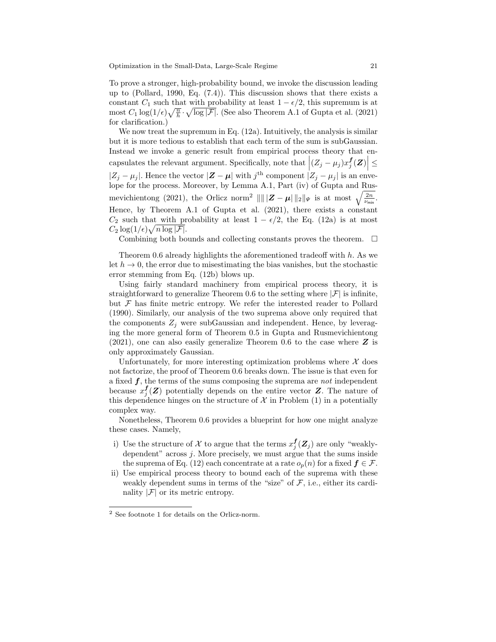To prove a stronger, high-probability bound, we invoke the discussion leading up to (Pollard, 1990, Eq. (7.4)). This discussion shows that there exists a constant  $C_1$  such that with probability at least  $1 - \epsilon/2$ , this supremum is at most  $C_1 \log(1/\epsilon) \sqrt{\frac{n}{h}} \cdot \sqrt{\log |\mathcal{F}|}$ . (See also Theorem A.1 of Gupta et al. (2021) for clarification.)

We now treat the supremum in Eq. (12a). Intuitively, the analysis is similar but it is more tedious to establish that each term of the sum is subGaussian. Instead we invoke a generic result from empirical process theory that encapsulates the relevant argument. Specifically, note that  $|(Z_j - \mu_j)x_j^{\{f\}}(Z)| \le$  $|Z_j - \mu_j|$ . Hence the vector  $|\mathbf{Z} - \boldsymbol{\mu}|$  with  $j^{\text{th}}$  component  $|Z_j - \mu_j|$  is an envelope for the process. Moreover, by Lemma A.1, Part (iv) of Gupta and Rusmevichientong (2021), the Orlicz norm<sup>2</sup>  $\| \| |Z - \mu| \|_2 \|_{\Psi}$  is at most  $\sqrt{\frac{2n}{\nu_{\min}}}.$ Hence, by Theorem A.1 of Gupta et al. (2021), there exists a constant  $C_2$  such that with probability at least  $1 - \epsilon/2$ , the Eq. (12a) is at most  $C_2 \log(1/\epsilon) \sqrt{n \log |\mathcal{F}|}.$ 

Combining both bounds and collecting constants proves the theorem.  $\Box$ 

Theorem 0.6 already highlights the aforementioned tradeoff with h. As we let  $h \to 0$ , the error due to misestimating the bias vanishes, but the stochastic error stemming from Eq. (12b) blows up.

Using fairly standard machinery from empirical process theory, it is straightforward to generalize Theorem 0.6 to the setting where  $|\mathcal{F}|$  is infinite, but  $\mathcal F$  has finite metric entropy. We refer the interested reader to Pollard (1990). Similarly, our analysis of the two suprema above only required that the components  $Z_i$  were subGaussian and independent. Hence, by leveraging the more general form of Theorem 0.5 in Gupta and Rusmevichientong  $(2021)$ , one can also easily generalize Theorem 0.6 to the case where  $\boldsymbol{Z}$  is only approximately Gaussian.

Unfortunately, for more interesting optimization problems where  $X$  does not factorize, the proof of Theorem 0.6 breaks down. The issue is that even for a fixed  $f$ , the terms of the sums composing the suprema are not independent because  $x_j^{\{f\}}(Z)$  potentially depends on the entire vector Z. The nature of this dependence hinges on the structure of  $X$  in Problem (1) in a potentially complex way.

Nonetheless, Theorem 0.6 provides a blueprint for how one might analyze these cases. Namely,

- i) Use the structure of  $\mathcal X$  to argue that the terms  $x_j^{\mathbf f}(Z_j)$  are only "weaklydependent" across  $j$ . More precisely, we must argue that the sums inside the suprema of Eq. (12) each concentrate at a rate  $o_p(n)$  for a fixed  $f \in \mathcal{F}$ .
- ii) Use empirical process theory to bound each of the suprema with these weakly dependent sums in terms of the "size" of  $\mathcal F$ , i.e., either its cardinality  $|\mathcal{F}|$  or its metric entropy.

<sup>2</sup> See footnote 1 for details on the Orlicz-norm.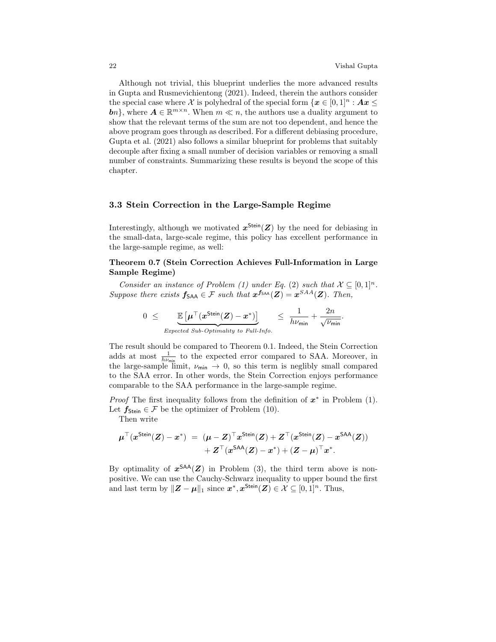Although not trivial, this blueprint underlies the more advanced results in Gupta and Rusmevichientong (2021). Indeed, therein the authors consider the special case where X is polyhedral of the special form  $\{x \in [0,1]^n : Ax \leq \emptyset\}$ **b**n, where  $A \in \mathbb{R}^{m \times n}$ . When  $m \ll n$ , the authors use a duality argument to show that the relevant terms of the sum are not too dependent, and hence the above program goes through as described. For a different debiasing procedure, Gupta et al. (2021) also follows a similar blueprint for problems that suitably decouple after fixing a small number of decision variables or removing a small number of constraints. Summarizing these results is beyond the scope of this chapter.

# 3.3 Stein Correction in the Large-Sample Regime

Interestingly, although we motivated  $x^{\text{Stein}}(Z)$  by the need for debiasing in the small-data, large-scale regime, this policy has excellent performance in the large-sample regime, as well:

# Theorem 0.7 (Stein Correction Achieves Full-Information in Large Sample Regime)

Consider an instance of Problem (1) under Eq. (2) such that  $\mathcal{X} \subseteq [0,1]^n$ . Suppose there exists  $f_{\text{SAA}} \in \mathcal{F}$  such that  $x^{f_{\text{SAA}}}(\mathbf{Z}) = x^{SAA}(\mathbf{Z})$ . Then,

$$
0 \leq \underbrace{\mathbb{E}\left[\mu^{\top}(x^{\text{Stein}}(Z) - x^*)\right]}_{Expected \ Sub-Optimality \ to \ Full-Info.} \leq \frac{1}{h\nu_{\min}} + \frac{2n}{\sqrt{\nu_{\min}}}.
$$

The result should be compared to Theorem 0.1. Indeed, the Stein Correction adds at most  $\frac{1}{h\nu_{\min}}$  to the expected error compared to SAA. Moreover, in the large-sample limit,  $\nu_{\min} \to 0$ , so this term is neglibly small compared to the SAA error. In other words, the Stein Correction enjoys performance comparable to the SAA performance in the large-sample regime.

*Proof* The first inequality follows from the definition of  $x^*$  in Problem (1). Let  $f_{Stein} \in \mathcal{F}$  be the optimizer of Problem (10).

Then write

$$
\begin{array}{ll} \mu^\top(x^{\text{Stein}}(Z)-x^*) & = & (\mu-Z)^\top x^{\text{Stein}}(Z)+Z^\top(x^{\text{Stein}}(Z)-x^{\text{SAA}}(Z)) \\ & & + Z^\top(x^{\text{SAA}}(Z)-x^*)+(Z-\mu)^\top x^*. \end{array}
$$

By optimality of  $x^{SAA}(Z)$  in Problem (3), the third term above is nonpositive. We can use the Cauchy-Schwarz inequality to upper bound the first and last term by  $||Z - \mu||_1$  since  $x^*, x^{\text{Stein}}(Z) \in \mathcal{X} \subseteq [0, 1]^n$ . Thus,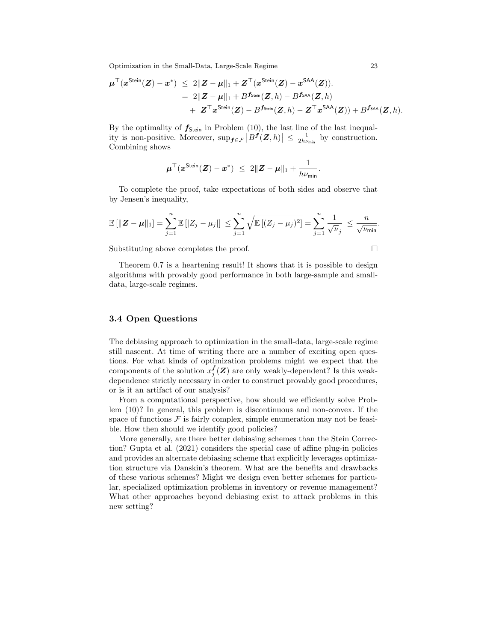$$
\begin{aligned} \boldsymbol{\mu}^\top (\boldsymbol{x}^{\mathsf{Stein}}(\boldsymbol{Z})-\boldsymbol{x}^*) \;\leq\; &2\|\boldsymbol{Z}-\boldsymbol{\mu}\|_1+\boldsymbol{Z}^\top (\boldsymbol{x}^{\mathsf{Stein}}(\boldsymbol{Z})-\boldsymbol{x}^{\mathsf{SAA}}(\boldsymbol{Z})). \\ & = \;2\|\boldsymbol{Z}-\boldsymbol{\mu}\|_1 + B^{f_{\mathsf{Stein}}}(\boldsymbol{Z},h) - B^{f_{\mathsf{SAA}}}(\boldsymbol{Z},h) \\ & + \; \boldsymbol{Z}^\top \boldsymbol{x}^{\mathsf{Stein}}(\boldsymbol{Z}) - B^{f_{\mathsf{Stein}}}(\boldsymbol{Z},h) - \boldsymbol{Z}^\top \boldsymbol{x}^{\mathsf{SAA}}(\boldsymbol{Z})) + B^{f_{\mathsf{SAA}}}(\boldsymbol{Z},h). \end{aligned}
$$

By the optimality of  $f_{\text{Stein}}$  in Problem (10), the last line of the last inequality is non-positive. Moreover,  $\sup_{f \in \mathcal{F}} |B^f(Z, h)| \leq \frac{1}{2h\nu_{\min}}$  by construction. Combining shows

$$
\mu^{\top}(x^{\text{Stein}}(Z) - x^*) \ \leq \ 2\|Z - \mu\|_1 + \frac{1}{h\nu_{\min}}.
$$

To complete the proof, take expectations of both sides and observe that by Jensen's inequality,

$$
\mathbb{E}[\|\mathbf{Z} - \boldsymbol{\mu}\|_1] = \sum_{j=1}^n \mathbb{E}[|Z_j - \mu_j|] \le \sum_{j=1}^n \sqrt{\mathbb{E}[(Z_j - \mu_j)^2]} = \sum_{j=1}^n \frac{1}{\sqrt{\nu_j}} \le \frac{n}{\sqrt{\nu_{\min}}}.
$$

Substituting above completes the proof.  $\Box$ 

Theorem 0.7 is a heartening result! It shows that it is possible to design algorithms with provably good performance in both large-sample and smalldata, large-scale regimes.

# 3.4 Open Questions

The debiasing approach to optimization in the small-data, large-scale regime still nascent. At time of writing there are a number of exciting open questions. For what kinds of optimization problems might we expect that the components of the solution  $x_j^f(Z)$  are only weakly-dependent? Is this weakdependence strictly necessary in order to construct provably good procedures, or is it an artifact of our analysis?

From a computational perspective, how should we efficiently solve Problem (10)? In general, this problem is discontinuous and non-convex. If the space of functions  $\mathcal F$  is fairly complex, simple enumeration may not be feasible. How then should we identify good policies?

More generally, are there better debiasing schemes than the Stein Correction? Gupta et al. (2021) considers the special case of affine plug-in policies and provides an alternate debiasing scheme that explicitly leverages optimization structure via Danskin's theorem. What are the benefits and drawbacks of these various schemes? Might we design even better schemes for particular, specialized optimization problems in inventory or revenue management? What other approaches beyond debiasing exist to attack problems in this new setting?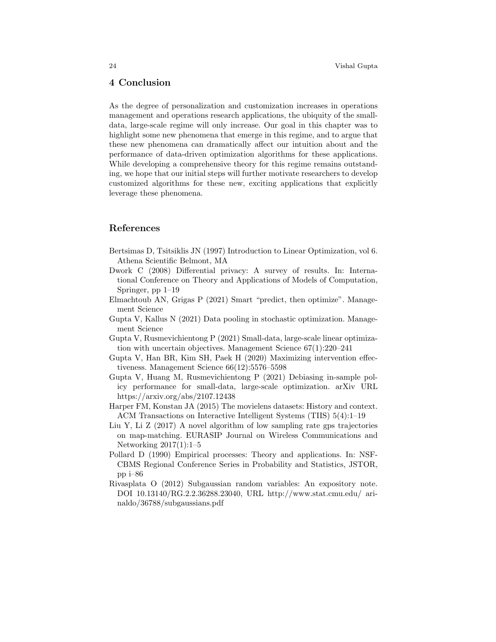# 4 Conclusion

As the degree of personalization and customization increases in operations management and operations research applications, the ubiquity of the smalldata, large-scale regime will only increase. Our goal in this chapter was to highlight some new phenomena that emerge in this regime, and to argue that these new phenomena can dramatically affect our intuition about and the performance of data-driven optimization algorithms for these applications. While developing a comprehensive theory for this regime remains outstanding, we hope that our initial steps will further motivate researchers to develop customized algorithms for these new, exciting applications that explicitly leverage these phenomena.

# References

- Bertsimas D, Tsitsiklis JN (1997) Introduction to Linear Optimization, vol 6. Athena Scientific Belmont, MA
- Dwork C (2008) Differential privacy: A survey of results. In: International Conference on Theory and Applications of Models of Computation, Springer, pp 1–19
- Elmachtoub AN, Grigas P (2021) Smart "predict, then optimize". Management Science
- Gupta V, Kallus N (2021) Data pooling in stochastic optimization. Management Science
- Gupta V, Rusmevichientong P (2021) Small-data, large-scale linear optimization with uncertain objectives. Management Science 67(1):220–241
- Gupta V, Han BR, Kim SH, Paek H (2020) Maximizing intervention effectiveness. Management Science 66(12):5576–5598
- Gupta V, Huang M, Rusmevichientong P (2021) Debiasing in-sample policy performance for small-data, large-scale optimization. arXiv URL https://arxiv.org/abs/2107.12438
- Harper FM, Konstan JA (2015) The movielens datasets: History and context. ACM Transactions on Interactive Intelligent Systems (TIIS) 5(4):1–19
- Liu Y, Li Z (2017) A novel algorithm of low sampling rate gps trajectories on map-matching. EURASIP Journal on Wireless Communications and Networking 2017(1):1–5
- Pollard D (1990) Empirical processes: Theory and applications. In: NSF-CBMS Regional Conference Series in Probability and Statistics, JSTOR, pp i–86
- Rivasplata O (2012) Subgaussian random variables: An expository note. DOI 10.13140/RG.2.2.36288.23040, URL http://www.stat.cmu.edu/ arinaldo/36788/subgaussians.pdf